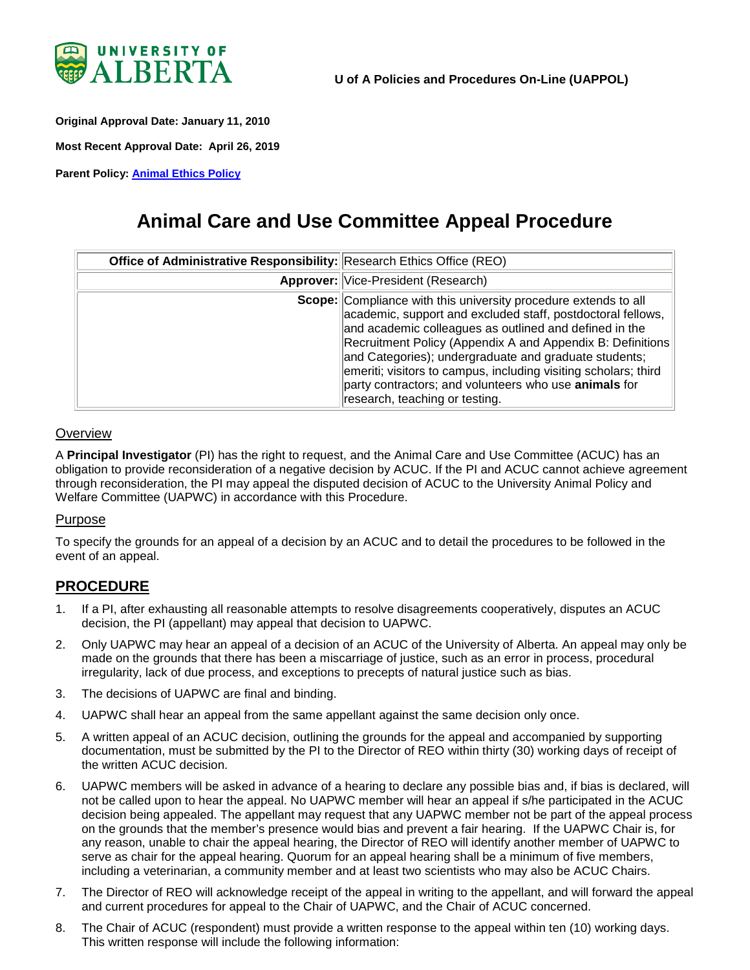

<span id="page-0-0"></span>**Original Approval Date: January 11, 2010**

**Most Recent Approval Date: April 26, 2019**

**Parent Policy: [Animal Ethics Policy](https://policiesonline.ualberta.ca/policiesprocedures/policies/animal-ethics-policy.pdf)**

# **Animal Care and Use Committee Appeal Procedure**

| Office of Administrative Responsibility: Research Ethics Office (REO) |                                                                                                                                                                                                                                                                                                                                                                                                                                                                                      |
|-----------------------------------------------------------------------|--------------------------------------------------------------------------------------------------------------------------------------------------------------------------------------------------------------------------------------------------------------------------------------------------------------------------------------------------------------------------------------------------------------------------------------------------------------------------------------|
|                                                                       | <b>Approver:</b> Vice-President (Research)                                                                                                                                                                                                                                                                                                                                                                                                                                           |
|                                                                       | <b>Scope:</b> Compliance with this university procedure extends to all<br>academic, support and excluded staff, postdoctoral fellows,<br>and academic colleagues as outlined and defined in the<br>Recruitment Policy (Appendix A and Appendix B: Definitions<br>and Categories); undergraduate and graduate students;<br>emeriti; visitors to campus, including visiting scholars; third<br>party contractors; and volunteers who use animals for<br>research, teaching or testing. |

#### **Overview**

A **Principal Investigator** (PI) has the right to request, and the Animal Care and Use Committee (ACUC) has an obligation to provide reconsideration of a negative decision by ACUC. If the PI and ACUC cannot achieve agreement through reconsideration, the PI may appeal the disputed decision of ACUC to the University Animal Policy and Welfare Committee (UAPWC) in accordance with this Procedure.

#### Purpose

To specify the grounds for an appeal of a decision by an ACUC and to detail the procedures to be followed in the event of an appeal.

## **PROCEDURE**

- 1. If a PI, after exhausting all reasonable attempts to resolve disagreements cooperatively, disputes an ACUC decision, the PI (appellant) may appeal that decision to UAPWC.
- 2. Only UAPWC may hear an appeal of a decision of an ACUC of the University of Alberta. An appeal may only be made on the grounds that there has been a miscarriage of justice, such as an error in process, procedural irregularity, lack of due process, and exceptions to precepts of natural justice such as bias.
- 3. The decisions of UAPWC are final and binding.
- 4. UAPWC shall hear an appeal from the same appellant against the same decision only once.
- 5. A written appeal of an ACUC decision, outlining the grounds for the appeal and accompanied by supporting documentation, must be submitted by the PI to the Director of REO within thirty (30) working days of receipt of the written ACUC decision.
- 6. UAPWC members will be asked in advance of a hearing to declare any possible bias and, if bias is declared, will not be called upon to hear the appeal. No UAPWC member will hear an appeal if s/he participated in the ACUC decision being appealed. The appellant may request that any UAPWC member not be part of the appeal process on the grounds that the member's presence would bias and prevent a fair hearing. If the UAPWC Chair is, for any reason, unable to chair the appeal hearing, the Director of REO will identify another member of UAPWC to serve as chair for the appeal hearing. Quorum for an appeal hearing shall be a minimum of five members, including a veterinarian, a community member and at least two scientists who may also be ACUC Chairs.
- 7. The Director of REO will acknowledge receipt of the appeal in writing to the appellant, and will forward the appeal and current procedures for appeal to the Chair of UAPWC, and the Chair of ACUC concerned.
- 8. The Chair of ACUC (respondent) must provide a written response to the appeal within ten (10) working days. This written response will include the following information: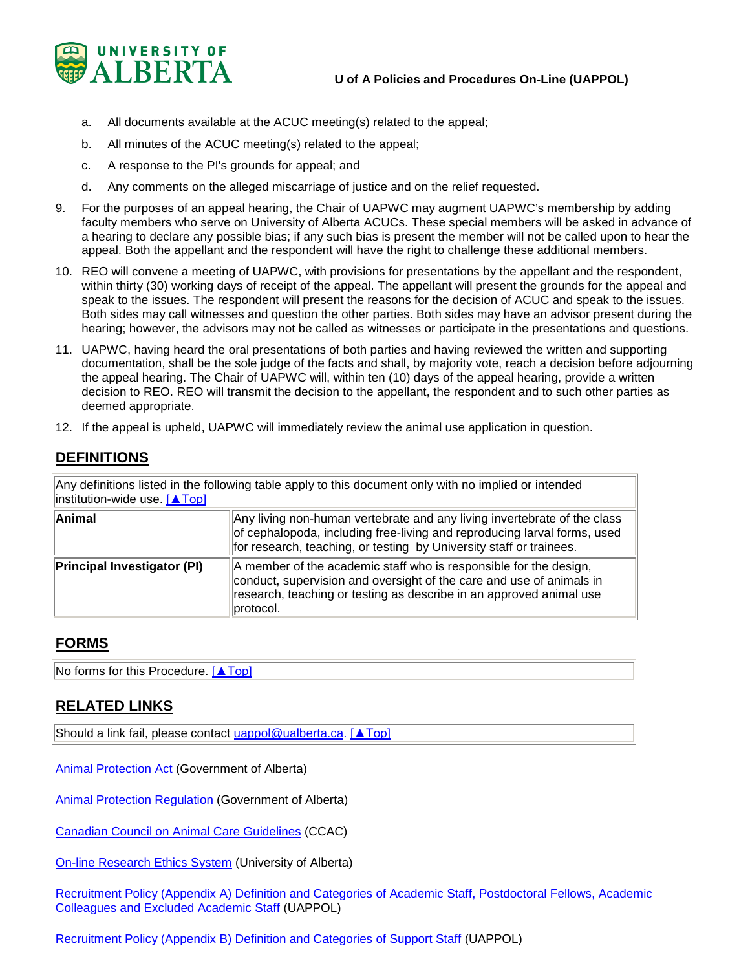

- a. All documents available at the ACUC meeting(s) related to the appeal;
- b. All minutes of the ACUC meeting(s) related to the appeal;
- c. A response to the PI's grounds for appeal; and
- d. Any comments on the alleged miscarriage of justice and on the relief requested.
- 9. For the purposes of an appeal hearing, the Chair of UAPWC may augment UAPWC's membership by adding faculty members who serve on University of Alberta ACUCs. These special members will be asked in advance of a hearing to declare any possible bias; if any such bias is present the member will not be called upon to hear the appeal. Both the appellant and the respondent will have the right to challenge these additional members.
- 10. REO will convene a meeting of UAPWC, with provisions for presentations by the appellant and the respondent, within thirty (30) working days of receipt of the appeal. The appellant will present the grounds for the appeal and speak to the issues. The respondent will present the reasons for the decision of ACUC and speak to the issues. Both sides may call witnesses and question the other parties. Both sides may have an advisor present during the hearing; however, the advisors may not be called as witnesses or participate in the presentations and questions.
- 11. UAPWC, having heard the oral presentations of both parties and having reviewed the written and supporting documentation, shall be the sole judge of the facts and shall, by majority vote, reach a decision before adjourning the appeal hearing. The Chair of UAPWC will, within ten (10) days of the appeal hearing, provide a written decision to REO. REO will transmit the decision to the appellant, the respondent and to such other parties as deemed appropriate.
- 12. If the appeal is upheld, UAPWC will immediately review the animal use application in question.

## **DEFINITIONS**

Any definitions listed in the following table apply to this document only with no implied or intended institution-wide use. [\[▲Top\]](#page-0-0)

| Animal                             | Any living non-human vertebrate and any living invertebrate of the class<br>of cephalopoda, including free-living and reproducing larval forms, used<br>for research, teaching, or testing by University staff or trainees.   |
|------------------------------------|-------------------------------------------------------------------------------------------------------------------------------------------------------------------------------------------------------------------------------|
| <b>Principal Investigator (PI)</b> | A member of the academic staff who is responsible for the design,<br>conduct, supervision and oversight of the care and use of animals in<br>research, teaching or testing as describe in an approved animal use<br>protocol. |

## **FORMS**

No forms for this Procedure. [\[▲Top\]](#page-0-0)

## **RELATED LINKS**

Should a link fail, please contact [uappol@ualberta.ca.](mailto:uappol@ualberta.ca) [\[▲Top\]](#page-0-0)

[Animal Protection Act](http://www.qp.alberta.ca/) (Government of Alberta)

**[Animal Protection Regulation](http://www.qp.alberta.ca/) (Government of Alberta)** 

[Canadian Council on Animal Care](http://www.ccac.ca/en_/standards/guidelines/) Guidelines (CCAC)

[On-line Research Ethics System](https://www.ualberta.ca/research/support/ethics-office/education-training-user-support) (University of Alberta)

Recruitment Policy (Appendix A) Definition and Categories of Academic Staff, Postdoctoral Fellows, Academic [Colleagues and Excluded Academic Staff](https://policiesonline.ualberta.ca/PoliciesProcedures/Procedures/Recruitment-Policy-Appendix-A-Definition-and-Categories-of-Academic-Staff-Administrators-and-Colleagues.pdf) (UAPPOL)

[Recruitment Policy \(Appendix B\) Definition and Categories of Support Staff](https://policiesonline.ualberta.ca/PoliciesProcedures/Procedures/Recruitment-Policy-Appendix-B-Definition-and-Categories-of-Support-Staff.pdf) (UAPPOL)